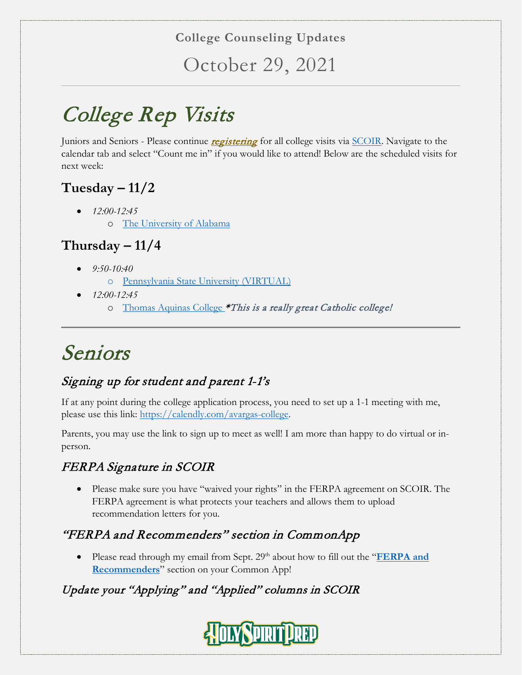#### **College Counseling Updates**

October 29, 2021

# College Rep Visits

Juniors and Seniors - Please continue *registering* for all college visits via **SCOIR**. Navigate to the calendar tab and select "Count me in" if you would like to attend! Below are the scheduled visits for next week:

## **Tuesday – 11/2**

- *12:00-12:45*
	- o [The University of Alabama](https://www.ua.edu/)

### **Thursday – 11/4**

- *9:50-10:40*
	- o [Pennsylvania State University \(VIRTUAL\)](https://www.psu.edu/)
- *12:00-12:45*
	- o [Thomas Aquinas College](https://www.thomasaquinas.edu/) \*This is a really great Catholic college!

## Seniors

### Signing up for student and parent 1-1's

If at any point during the college application process, you need to set up a 1-1 meeting with me, please use this link: [https://calendly.com/avargas-college.](https://calendly.com/avargas-college)

Parents, you may use the link to sign up to meet as well! I am more than happy to do virtual or inperson.

### FERPA Signature in SCOIR

• Please make sure you have "waived your rights" in the FERPA agreement on SCOIR. The FERPA agreement is what protects your teachers and allows them to upload recommendation letters for you.

#### "FERPA and Recommenders" section in CommonApp

• Please read through my email from Sept. 29<sup>th</sup> about how to fill out the "**FERPA and [Recommenders](https://cdn2.hubspot.net/hubfs/2626201/SCOIR%20Guide%20to%20Completing%20Recommenders%20Section%20of%20CommonApp.pdf)**" section on your Common App!

### Update your "Applying" and "Applied" columns in SCOIR

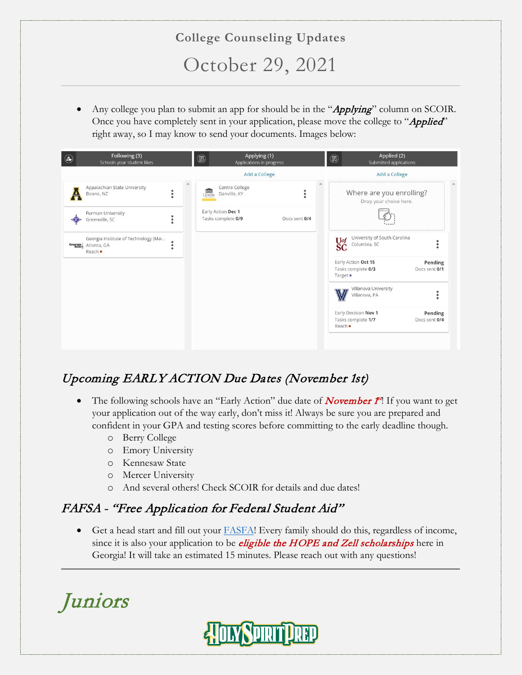## **College Counseling Updates** October 29, 2021

Any college you plan to submit an app for should be in the "Applying" column on SCOIR. Once you have completely sent in your application, please move the college to "Applied" right away, so I may know to send your documents. Images below:

| $\bigcirc$ | Following (3)<br>Schools your student likes                                      |  | Applying (1)<br>$\circledR$<br>Applications in progress |               |  | Applied (2)<br>◉<br>Submitted applications                |                          |  |
|------------|----------------------------------------------------------------------------------|--|---------------------------------------------------------|---------------|--|-----------------------------------------------------------|--------------------------|--|
|            |                                                                                  |  | Add a College                                           |               |  | Add a College                                             |                          |  |
|            | Appalachian State University<br>Boone, NC                                        |  | Centre College<br><b>THE</b><br>CENTRE<br>Danville, KY  | ٠<br>٠        |  | Where are you enrolling?<br>Drop your choice here.        |                          |  |
|            | Furman University<br>Greenville, SC                                              |  | Early Action Dec 1<br>Tasks complete 0/9                | Docs sent 0/4 |  |                                                           |                          |  |
| Georgia    | Georgia Institute of Technology (Mai<br>Atlanta, GA<br>$\bullet$<br>٠<br>Reach · |  |                                                         |               |  | University of South Carolina<br>Uof<br>Columbia, SC<br>ŠĆ |                          |  |
|            |                                                                                  |  |                                                         |               |  | Early Action Oct 15<br>Tasks complete 0/3<br>Target ·     | Pending<br>Docs sent 0/1 |  |
|            |                                                                                  |  |                                                         |               |  | Villanova University<br>Villanova, PA                     |                          |  |
|            |                                                                                  |  |                                                         |               |  | Early Decision Nov 1<br>Tasks complete 1/7<br>Reach ·     | Pending<br>Docs sent 0/4 |  |
|            |                                                                                  |  |                                                         |               |  |                                                           |                          |  |

### Upcoming EARLY ACTION Due Dates (November 1st)

- The following schools have an "Early Action" due date of **November**  $f^{\prime}$ **!** If you want to get your application out of the way early, don't miss it! Always be sure you are prepared and confident in your GPA and testing scores before committing to the early deadline though.
	- o Berry College
	- o Emory University
	- o Kennesaw State
	- o Mercer University
	- o And several others! Check SCOIR for details and due dates!

### FAFSA - "Free Application for Federal Student Aid"

• Get a head start and fill out your  $FASFA! Every family should do this, regardless of income,$ </u> since it is also your application to be *eligible the HOPE and Zell scholarships* here in Georgia! It will take an estimated 15 minutes. Please reach out with any questions!

Juniors